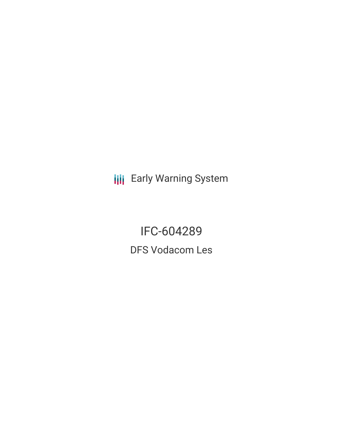**III** Early Warning System

IFC-604289 DFS Vodacom Les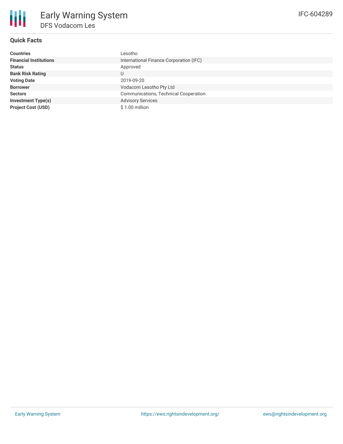

# **Quick Facts**

| Countries                     | Lesotho                                      |
|-------------------------------|----------------------------------------------|
| <b>Financial Institutions</b> | International Finance Corporation (IFC)      |
| Status                        | Approved                                     |
| <b>Bank Risk Rating</b>       | U                                            |
| <b>Voting Date</b>            | 2019-09-20                                   |
| <b>Borrower</b>               | Vodacom Lesotho Pty Ltd                      |
| <b>Sectors</b>                | <b>Communications, Technical Cooperation</b> |
| Investment Type(s)            | <b>Advisory Services</b>                     |
| <b>Project Cost (USD)</b>     | \$1.00 million                               |
|                               |                                              |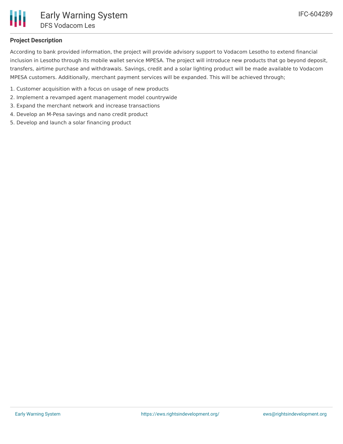

## **Project Description**

According to bank provided information, the project will provide advisory support to Vodacom Lesotho to extend financial inclusion in Lesotho through its mobile wallet service MPESA. The project will introduce new products that go beyond deposit, transfers, airtime purchase and withdrawals. Savings, credit and a solar lighting product will be made available to Vodacom MPESA customers. Additionally, merchant payment services will be expanded. This will be achieved through;

- 1. Customer acquisition with a focus on usage of new products
- 2. Implement a revamped agent management model countrywide
- 3. Expand the merchant network and increase transactions
- 4. Develop an M-Pesa savings and nano credit product
- 5. Develop and launch a solar financing product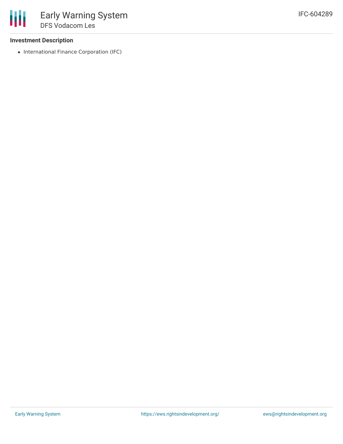#### **Investment Description**

• International Finance Corporation (IFC)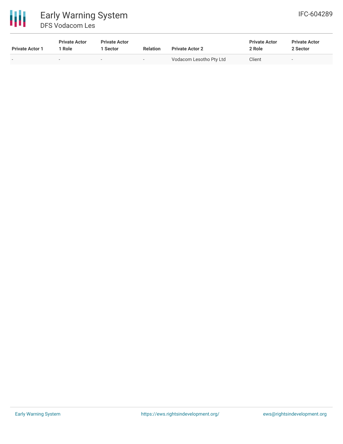

# 冊 Early Warning System DFS Vodacom Les

| <b>Private Actor 1</b> | <b>Private Actor</b><br>Role | <b>Private Actor</b><br>  Sector | <b>Relation</b>          | <b>Private Actor 2</b>  | <b>Private Actor</b><br>2 Role | <b>Private Actor</b><br>2 Sector |
|------------------------|------------------------------|----------------------------------|--------------------------|-------------------------|--------------------------------|----------------------------------|
| $\sim$                 |                              |                                  | $\overline{\phantom{a}}$ | Vodacom Lesotho Pty Ltd | Client                         | $\overline{\phantom{a}}$         |